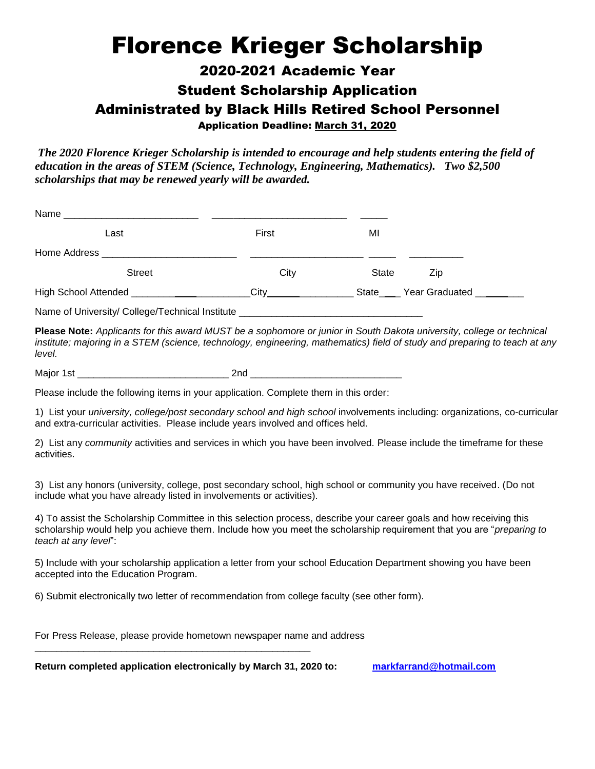## Florence Krieger Scholarship

## 2020-2021 Academic Year Student Scholarship Application Administrated by Black Hills Retired School Personnel Application Deadline: March 31, 2020

*The 2020 Florence Krieger Scholarship is intended to encourage and help students entering the field of education in the areas of STEM (Science, Technology, Engineering, Mathematics). Two \$2,500 scholarships that may be renewed yearly will be awarded.*

| Name                                           |       |                      |
|------------------------------------------------|-------|----------------------|
| Last                                           | First | MI                   |
|                                                |       |                      |
| <b>Street</b>                                  | City  | <b>State</b><br>Zip  |
| High School Attended ____________              | Citv  | State Year Graduated |
| Name of University/College Technical Institute |       |                      |

Name of University/ College/Technical Institute \_\_\_\_\_\_\_\_\_\_\_\_\_\_\_\_\_\_\_\_\_\_\_\_\_\_\_\_\_\_\_\_

**Please Note:** *Applicants for this award MUST be a sophomore or junior in South Dakota university, college or technical*  institute; majoring in a STEM (science, technology, engineering, mathematics) field of study and preparing to teach at any *level.*

Major 1st \_\_\_\_\_\_\_\_\_\_\_\_\_\_\_\_\_\_\_\_\_\_\_\_\_\_\_\_ 2nd \_\_\_\_\_\_\_\_\_\_\_\_\_\_\_\_\_\_\_\_\_\_\_\_\_\_\_\_

Please include the following items in your application. Complete them in this order:

1) List your *university, college/post secondary school and high school* involvements including: organizations, co-curricular and extra-curricular activities. Please include years involved and offices held.

2) List any *community* activities and services in which you have been involved. Please include the timeframe for these activities.

3) List any honors (university, college, post secondary school, high school or community you have received. (Do not include what you have already listed in involvements or activities).

4) To assist the Scholarship Committee in this selection process, describe your career goals and how receiving this scholarship would help you achieve them. Include how you meet the scholarship requirement that you are "*preparing to teach at any level*":

5) Include with your scholarship application a letter from your school Education Department showing you have been accepted into the Education Program.

6) Submit electronically two letter of recommendation from college faculty (see other form).

For Press Release, please provide hometown newspaper name and address

\_\_\_\_\_\_\_\_\_\_\_\_\_\_\_\_\_\_\_\_\_\_\_\_\_\_\_\_\_\_\_\_\_\_\_\_\_\_\_\_\_\_\_\_\_\_\_\_\_\_\_

**Return completed application electronically by March 31, 2020 to: [markfarrand@hotmail.com](mailto:markfarrand@hotmail.com)**